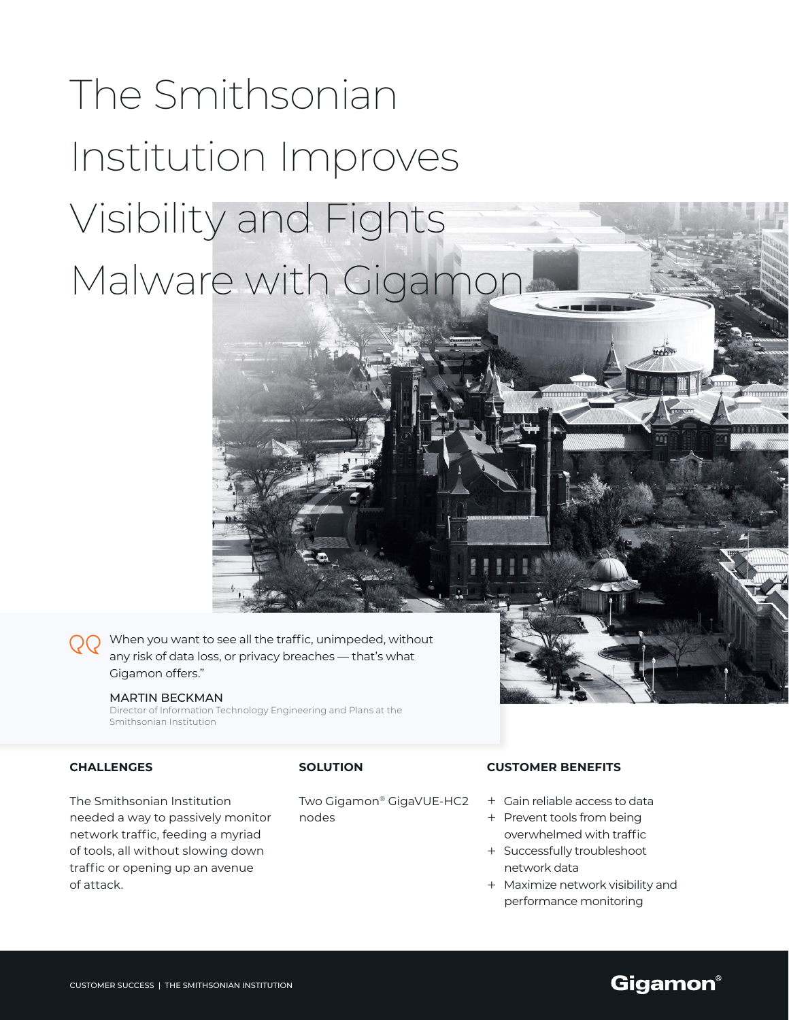# The Smithsonian Institution Improves Visibility and Fights Malware with Gigamor

When you want to see all the traffic, unimpeded, without any risk of data loss, or privacy breaches — that's what Gigamon offers."

#### MARTIN BECKMAN

Director of Information Technology Engineering and Plans at the Smithsonian Institution

# **CHALLENGES**

The Smithsonian Institution needed a way to passively monitor network traffic, feeding a myriad of tools, all without slowing down traffic or opening up an avenue of attack.

## **SOLUTION**

Two Gigamon® GigaVUE-HC2 nodes

### **CUSTOMER BENEFITS**

- + Gain reliable access to data
- + Prevent tools from being overwhelmed with traffic
- + Successfully troubleshoot network data
- + Maximize network visibility and performance monitoring

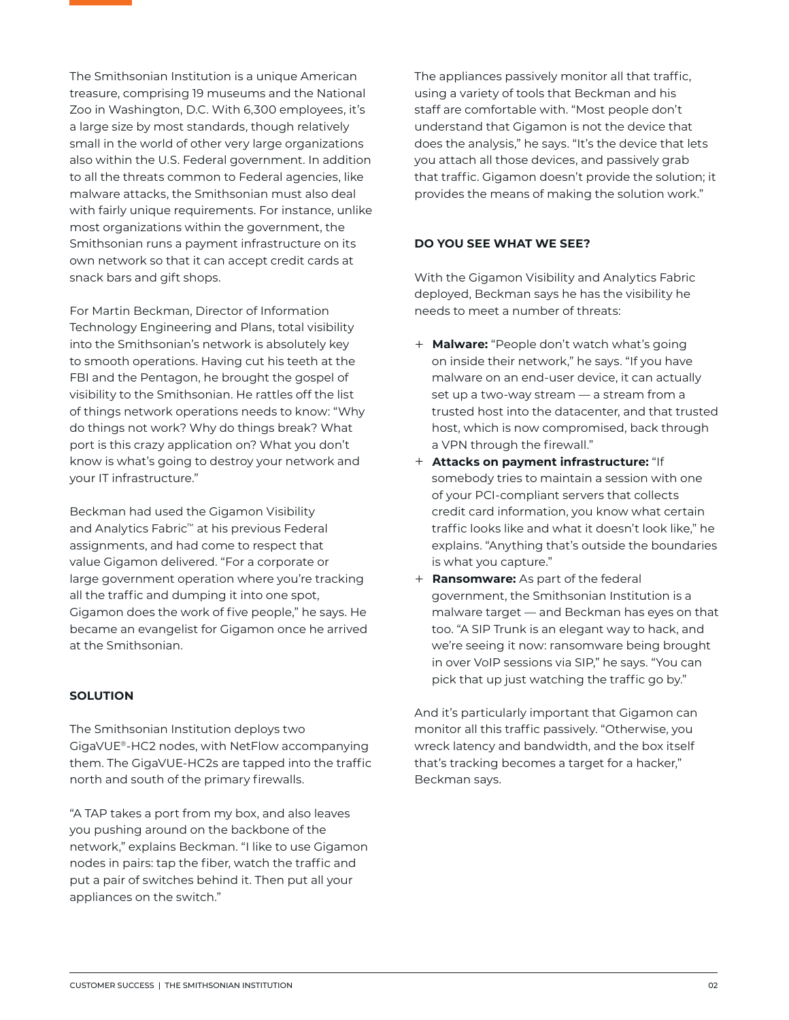The Smithsonian Institution is a unique American treasure, comprising 19 museums and the National Zoo in Washington, D.C. With 6,300 employees, it's a large size by most standards, though relatively small in the world of other very large organizations also within the U.S. Federal government. In addition to all the threats common to Federal agencies, like malware attacks, the Smithsonian must also deal with fairly unique requirements. For instance, unlike most organizations within the government, the Smithsonian runs a payment infrastructure on its own network so that it can accept credit cards at snack bars and gift shops.

For Martin Beckman, Director of Information Technology Engineering and Plans, total visibility into the Smithsonian's network is absolutely key to smooth operations. Having cut his teeth at the FBI and the Pentagon, he brought the gospel of visibility to the Smithsonian. He rattles off the list of things network operations needs to know: "Why do things not work? Why do things break? What port is this crazy application on? What you don't know is what's going to destroy your network and your IT infrastructure."

Beckman had used the Gigamon Visibility and Analytics Fabric™ at his previous Federal assignments, and had come to respect that value Gigamon delivered. "For a corporate or large government operation where you're tracking all the traffic and dumping it into one spot, Gigamon does the work of five people," he says. He became an evangelist for Gigamon once he arrived at the Smithsonian.

## **SOLUTION**

The Smithsonian Institution deploys two GigaVUE®-HC2 nodes, with NetFlow accompanying them. The GigaVUE-HC2s are tapped into the traffic north and south of the primary firewalls.

"A TAP takes a port from my box, and also leaves you pushing around on the backbone of the network," explains Beckman. "I like to use Gigamon nodes in pairs: tap the fiber, watch the traffic and put a pair of switches behind it. Then put all your appliances on the switch."

The appliances passively monitor all that traffic, using a variety of tools that Beckman and his staff are comfortable with. "Most people don't understand that Gigamon is not the device that does the analysis," he says. "It's the device that lets you attach all those devices, and passively grab that traffic. Gigamon doesn't provide the solution; it provides the means of making the solution work."

# **DO YOU SEE WHAT WE SEE?**

With the Gigamon Visibility and Analytics Fabric deployed, Beckman says he has the visibility he needs to meet a number of threats:

- + **Malware:** "People don't watch what's going on inside their network," he says. "If you have malware on an end-user device, it can actually set up a two-way stream — a stream from a trusted host into the datacenter, and that trusted host, which is now compromised, back through a VPN through the firewall."
- + **Attacks on payment infrastructure:** "If somebody tries to maintain a session with one of your PCI-compliant servers that collects credit card information, you know what certain traffic looks like and what it doesn't look like," he explains. "Anything that's outside the boundaries is what you capture."
- + **Ransomware:** As part of the federal government, the Smithsonian Institution is a malware target — and Beckman has eyes on that too. "A SIP Trunk is an elegant way to hack, and we're seeing it now: ransomware being brought in over VoIP sessions via SIP," he says. "You can pick that up just watching the traffic go by."

And it's particularly important that Gigamon can monitor all this traffic passively. "Otherwise, you wreck latency and bandwidth, and the box itself that's tracking becomes a target for a hacker," Beckman says.